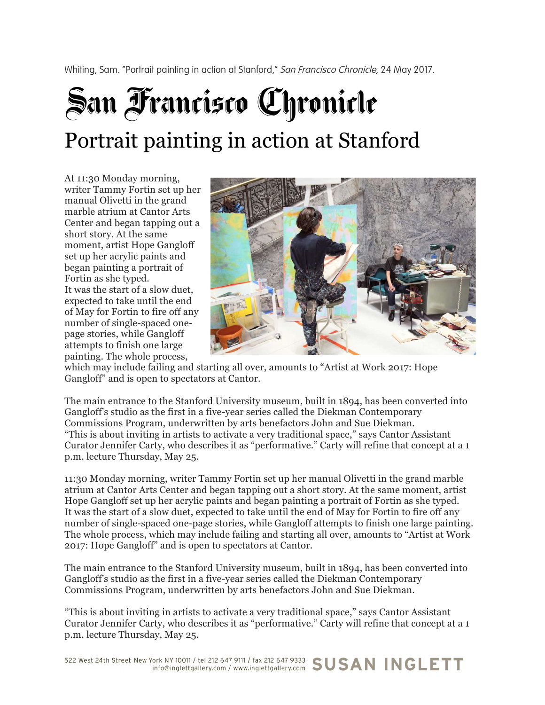Whiting, Sam. "Portrait painting in action at Stanford," San Francisco Chronicle, 24 May 2017.

## San Francisco Chronicle Portrait painting in action at Stanford

At 11:30 Monday morning, writer Tammy Fortin set up her manual Olivetti in the grand marble atrium at Cantor Arts Center and began tapping out a short story. At the same moment, artist Hope Gangloff set up her acrylic paints and began painting a portrait of Fortin as she typed. It was the start of a slow duet, expected to take until the end of May for Fortin to fire off any number of single-spaced onepage stories, while Gangloff attempts to finish one large painting. The whole process,



which may include failing and starting all over, amounts to "Artist at Work 2017: Hope Gangloff" and is open to spectators at Cantor.

The main entrance to the Stanford University museum, built in 1894, has been converted into Gangloff's studio as the first in a five-year series called the Diekman Contemporary Commissions Program, underwritten by arts benefactors John and Sue Diekman. "This is about inviting in artists to activate a very traditional space," says Cantor Assistant Curator Jennifer Carty, who describes it as "performative." Carty will refine that concept at a 1 p.m. lecture Thursday, May 25.

11:30 Monday morning, writer Tammy Fortin set up her manual Olivetti in the grand marble atrium at Cantor Arts Center and began tapping out a short story. At the same moment, artist Hope Gangloff set up her acrylic paints and began painting a portrait of Fortin as she typed. It was the start of a slow duet, expected to take until the end of May for Fortin to fire off any number of single-spaced one-page stories, while Gangloff attempts to finish one large painting. The whole process, which may include failing and starting all over, amounts to "Artist at Work 2017: Hope Gangloff" and is open to spectators at Cantor.

The main entrance to the Stanford University museum, built in 1894, has been converted into Gangloff's studio as the first in a five-year series called the Diekman Contemporary Commissions Program, underwritten by arts benefactors John and Sue Diekman.

"This is about inviting in artists to activate a very traditional space," says Cantor Assistant Curator Jennifer Carty, who describes it as "performative." Carty will refine that concept at a 1 p.m. lecture Thursday, May 25.